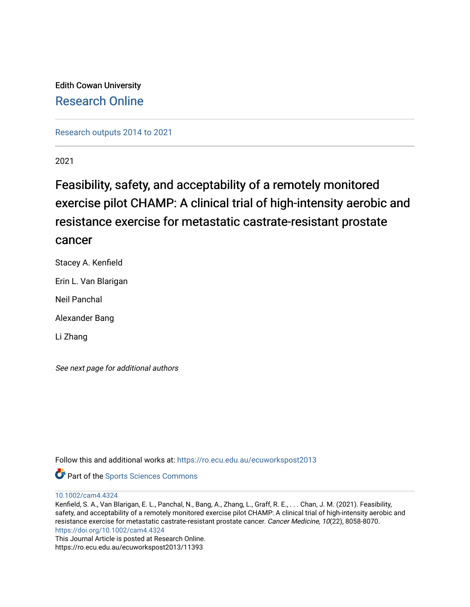Edith Cowan University [Research Online](https://ro.ecu.edu.au/) 

[Research outputs 2014 to 2021](https://ro.ecu.edu.au/ecuworkspost2013) 

2021

## Feasibility, safety, and acceptability of a remotely monitored exercise pilot CHAMP: A clinical trial of high-intensity aerobic and resistance exercise for metastatic castrate-resistant prostate cancer

Stacey A. Kenfield Erin L. Van Blarigan Neil Panchal Alexander Bang Li Zhang

See next page for additional authors

Follow this and additional works at: [https://ro.ecu.edu.au/ecuworkspost2013](https://ro.ecu.edu.au/ecuworkspost2013?utm_source=ro.ecu.edu.au%2Fecuworkspost2013%2F11393&utm_medium=PDF&utm_campaign=PDFCoverPages) 



[10.1002/cam4.4324](http://dx.doi.org/10.1002/cam4.4324) 

Kenfield, S. A., Van Blarigan, E. L., Panchal, N., Bang, A., Zhang, L., Graff, R. E., . . . Chan, J. M. (2021). Feasibility, safety, and acceptability of a remotely monitored exercise pilot CHAMP: A clinical trial of high-intensity aerobic and resistance exercise for metastatic castrate-resistant prostate cancer. Cancer Medicine, 10(22), 8058-8070. <https://doi.org/10.1002/cam4.4324>

This Journal Article is posted at Research Online. https://ro.ecu.edu.au/ecuworkspost2013/11393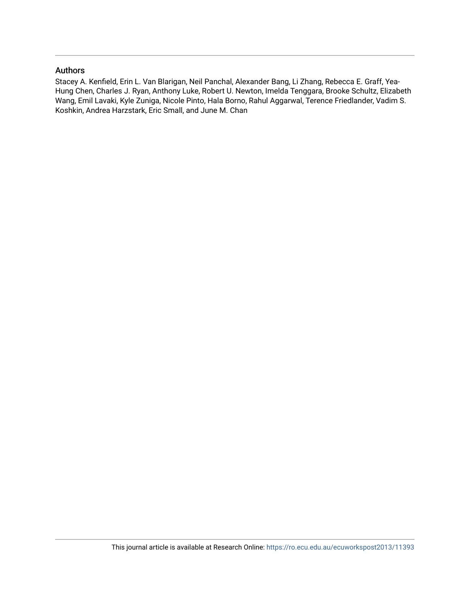## Authors

Stacey A. Kenfield, Erin L. Van Blarigan, Neil Panchal, Alexander Bang, Li Zhang, Rebecca E. Graff, Yea-Hung Chen, Charles J. Ryan, Anthony Luke, Robert U. Newton, Imelda Tenggara, Brooke Schultz, Elizabeth Wang, Emil Lavaki, Kyle Zuniga, Nicole Pinto, Hala Borno, Rahul Aggarwal, Terence Friedlander, Vadim S. Koshkin, Andrea Harzstark, Eric Small, and June M. Chan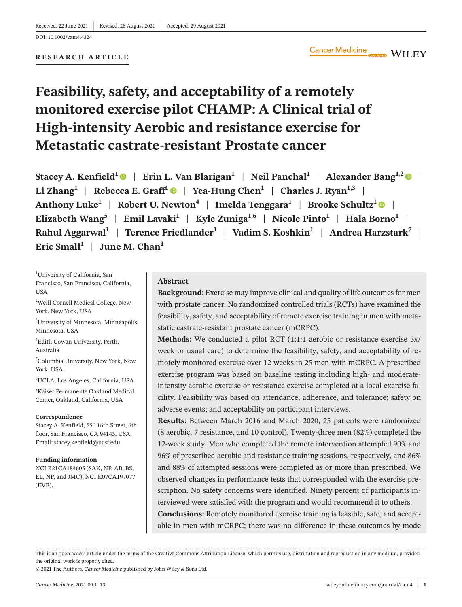**RESEARCH ARTICLE**

#### $\blacksquare$  WILEY

# **Feasibility, safety, and acceptability of a remotely monitored exercise pilot CHAMP: A Clinical trial of High-intensity Aerobic and resistance exercise for Metastatic castrate-resistant Prostate cancer**

**Stacey A. Kenfield**<sup>[1](https://orcid.org/0000-0002-1585-7352)</sup> | Erin L. Van Blarigan<sup>1</sup> | Neil Panchal<sup>1</sup> | Alexander Bang<sup>1,[2](https://orcid.org/0000-0002-1700-2411)</sup> | **a** Li Zhang<sup>[1](https://orcid.org/0000-0003-0316-8303)</sup> | Rebecca E. Graff<sup>1</sup>  $\bullet$  | Yea-Hung Chen<sup>1</sup> | Charles J. Ryan<sup>1,3</sup> | Anthony Luke<sup>1</sup> | Robert U. Newton<sup>4</sup> | Imelda Tenggara<sup>1</sup> | Brooke Schultz<sup>1</sup>  $\bullet$  | **Elizabeth Wang<sup>5</sup> | Emil Lavaki<sup>1</sup> | Kyle Zuniga<sup>1,6</sup> | Nicole Pinto<sup>1</sup> | Hala Borno<sup>1</sup> | Rahul Aggarwal<sup>1</sup>** | **Terence Friedlander1** | **Vadim S. Koshkin1** | **Andrea Harzstark7** | Eric Small<sup>1</sup> | June M. Chan<sup>1</sup>

1 University of California, San Francisco, San Francisco, California, **USA** 

<sup>2</sup>Weill Cornell Medical College, New York, New York, USA

3 University of Minnesota, Minneapolis, Minnesota, USA

4 Edith Cowan University, Perth, Australia

5 Columbia University, New York, New York, USA

6 UCLA, Los Angeles, California, USA

7 Kaiser Permanente Oakland Medical Center, Oakland, California, USA

#### **Correspondence**

Stacey A. Kenfield, 550 16th Street, 6th floor, San Francisco, CA 94143, USA. Email: [stacey.kenfield@ucsf.edu](mailto:stacey.kenfield@ucsf.edu)

#### **Funding information**

NCI R21CA184605 (SAK, NP, AB, BS, EL, NP, and JMC); NCI K07CA197077 (EVB).

#### **Abstract**

**Background:** Exercise may improve clinical and quality of life outcomes for men with prostate cancer. No randomized controlled trials (RCTs) have examined the feasibility, safety, and acceptability of remote exercise training in men with metastatic castrate-resistant prostate cancer (mCRPC).

**Methods:** We conducted a pilot RCT (1:1:1 aerobic or resistance exercise 3x/ week or usual care) to determine the feasibility, safety, and acceptability of remotely monitored exercise over 12 weeks in 25 men with mCRPC. A prescribed exercise program was based on baseline testing including high- and moderateintensity aerobic exercise or resistance exercise completed at a local exercise facility. Feasibility was based on attendance, adherence, and tolerance; safety on adverse events; and acceptability on participant interviews.

**Results:** Between March 2016 and March 2020, 25 patients were randomized (8 aerobic, 7 resistance, and 10 control). Twenty-three men (82%) completed the 12-week study. Men who completed the remote intervention attempted 90% and 96% of prescribed aerobic and resistance training sessions, respectively, and 86% and 88% of attempted sessions were completed as or more than prescribed. We observed changes in performance tests that corresponded with the exercise prescription. No safety concerns were identified. Ninety percent of participants interviewed were satisfied with the program and would recommend it to others.

**Conclusions:** Remotely monitored exercise training is feasible, safe, and acceptable in men with mCRPC; there was no difference in these outcomes by mode

This is an open access article under the terms of the Creative Commons [Attribution](http://creativecommons.org/licenses/by/4.0/) License, which permits use, distribution and reproduction in any medium, provided the original work is properly cited.

© 2021 The Authors. *Cancer Medicine* published by John Wiley & Sons Ltd.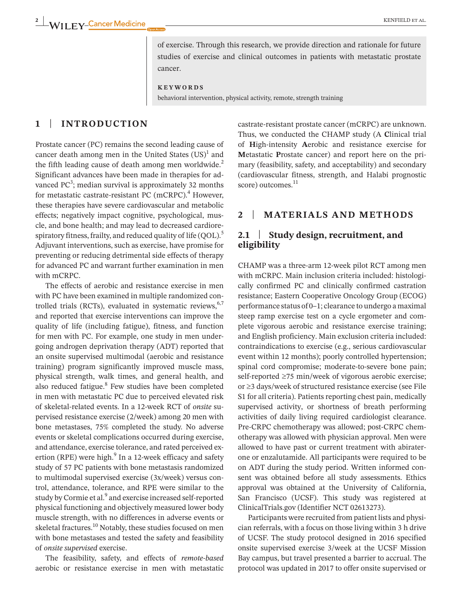of exercise. Through this research, we provide direction and rationale for future studies of exercise and clinical outcomes in patients with metastatic prostate cancer.

**KEYWORDS**

behavioral intervention, physical activity, remote, strength training

## **1** | **INTRODUCTION**

Prostate cancer (PC) remains the second leading cause of cancer death among men in the United States  $(US)^1$  and the fifth leading cause of death among men worldwide. $<sup>2</sup>$ </sup> Significant advances have been made in therapies for advanced PC<sup>3</sup>; median survival is approximately 32 months for metastatic castrate-resistant PC (mCRPC). $4$  However, these therapies have severe cardiovascular and metabolic effects; negatively impact cognitive, psychological, muscle, and bone health; and may lead to decreased cardiorespiratory fitness, frailty, and reduced quality of life  $(QOL)^5$ . Adjuvant interventions, such as exercise, have promise for preventing or reducing detrimental side effects of therapy for advanced PC and warrant further examination in men with mCRPC.

The effects of aerobic and resistance exercise in men with PC have been examined in multiple randomized controlled trials (RCTs), evaluated in systematic reviews,  $6,7$ and reported that exercise interventions can improve the quality of life (including fatigue), fitness, and function for men with PC. For example, one study in men undergoing androgen deprivation therapy (ADT) reported that an onsite supervised multimodal (aerobic and resistance training) program significantly improved muscle mass, physical strength, walk times, and general health, and also reduced fatigue.<sup>8</sup> Few studies have been completed in men with metastatic PC due to perceived elevated risk of skeletal-related events. In a 12-week RCT of *onsite* supervised resistance exercise (2/week) among 20 men with bone metastases, 75% completed the study. No adverse events or skeletal complications occurred during exercise, and attendance, exercise tolerance, and rated perceived exertion (RPE) were high. $9$  In a 12-week efficacy and safety study of 57 PC patients with bone metastasis randomized to multimodal supervised exercise (3x/week) versus control, attendance, tolerance, and RPE were similar to the study by Cormie et al.<sup>9</sup> and exercise increased self-reported physical functioning and objectively measured lower body muscle strength, with no differences in adverse events or skeletal fractures.<sup>10</sup> Notably, these studies focused on men with bone metastases and tested the safety and feasibility of *onsite supervised* exercise.

The feasibility, safety, and effects of *remote-based* aerobic or resistance exercise in men with metastatic

castrate-resistant prostate cancer (mCRPC) are unknown. Thus, we conducted the CHAMP study (A **C**linical trial of **H**igh-intensity **A**erobic and resistance exercise for **M**etastatic **P**rostate cancer) and report here on the primary (feasibility, safety, and acceptability) and secondary (cardiovascular fitness, strength, and Halabi prognostic score) outcomes.<sup>11</sup>

## **2** | **MATERIALS AND METHODS**

## **2.1** | **Study design, recruitment, and eligibility**

CHAMP was a three-arm 12-week pilot RCT among men with mCRPC. Main inclusion criteria included: histologically confirmed PC and clinically confirmed castration resistance; Eastern Cooperative Oncology Group (ECOG) performance status of 0–1; clearance to undergo a maximal steep ramp exercise test on a cycle ergometer and complete vigorous aerobic and resistance exercise training; and English proficiency. Main exclusion criteria included: contraindications to exercise (e.g., serious cardiovascular event within 12 months); poorly controlled hypertension; spinal cord compromise; moderate-to-severe bone pain; self-reported ≥75 min/week of vigorous aerobic exercise; or ≥3 days/week of structured resistance exercise (see File S1 for all criteria). Patients reporting chest pain, medically supervised activity, or shortness of breath performing activities of daily living required cardiologist clearance. Pre-CRPC chemotherapy was allowed; post-CRPC chemotherapy was allowed with physician approval. Men were allowed to have past or current treatment with abiraterone or enzalutamide. All participants were required to be on ADT during the study period. Written informed consent was obtained before all study assessments. Ethics approval was obtained at the University of California, San Francisco (UCSF). This study was registered at ClinicalTrials.gov (Identifier NCT 02613273).

Participants were recruited from patient lists and physician referrals, with a focus on those living within 3 h drive of UCSF. The study protocol designed in 2016 specified onsite supervised exercise 3/week at the UCSF Mission Bay campus, but travel presented a barrier to accrual. The protocol was updated in 2017 to offer onsite supervised or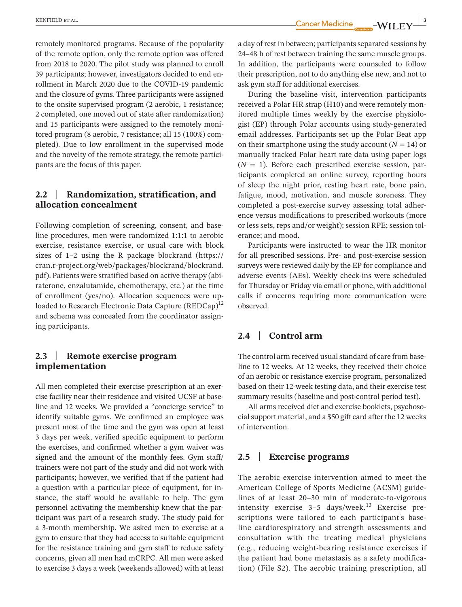remotely monitored programs. Because of the popularity of the remote option, only the remote option was offered from 2018 to 2020. The pilot study was planned to enroll 39 participants; however, investigators decided to end enrollment in March 2020 due to the COVID-19 pandemic and the closure of gyms. Three participants were assigned to the onsite supervised program (2 aerobic, 1 resistance; 2 completed, one moved out of state after randomization) and 15 participants were assigned to the remotely monitored program (8 aerobic, 7 resistance; all 15 (100%) completed). Due to low enrollment in the supervised mode and the novelty of the remote strategy, the remote participants are the focus of this paper.

## **2.2** | **Randomization, stratification, and allocation concealment**

Following completion of screening, consent, and baseline procedures, men were randomized 1:1:1 to aerobic exercise, resistance exercise, or usual care with block sizes of 1–2 using the R package blockrand ([https://](https://cran.r-project.org/web/packages/blockrand/blockrand.pdf) [cran.r-project.org/web/packages/blockrand/blockrand.](https://cran.r-project.org/web/packages/blockrand/blockrand.pdf) [pdf\)](https://cran.r-project.org/web/packages/blockrand/blockrand.pdf). Patients were stratified based on active therapy (abiraterone, enzalutamide, chemotherapy, etc.) at the time of enrollment (yes/no). Allocation sequences were uploaded to Research Electronic Data Capture  $(REDCap)^{12}$ and schema was concealed from the coordinator assigning participants.

## **2.3** | **Remote exercise program implementation**

All men completed their exercise prescription at an exercise facility near their residence and visited UCSF at baseline and 12 weeks. We provided a "concierge service" to identify suitable gyms. We confirmed an employee was present most of the time and the gym was open at least 3 days per week, verified specific equipment to perform the exercises, and confirmed whether a gym waiver was signed and the amount of the monthly fees. Gym staff/ trainers were not part of the study and did not work with participants; however, we verified that if the patient had a question with a particular piece of equipment, for instance, the staff would be available to help. The gym personnel activating the membership knew that the participant was part of a research study. The study paid for a 3-month membership. We asked men to exercise at a gym to ensure that they had access to suitable equipment for the resistance training and gym staff to reduce safety concerns, given all men had mCRPC. All men were asked to exercise 3 days a week (weekends allowed) with at least

a day of rest in between; participants separated sessions by 24–48 h of rest between training the same muscle groups. In addition, the participants were counseled to follow their prescription, not to do anything else new, and not to ask gym staff for additional exercises.

During the baseline visit, intervention participants received a Polar HR strap (H10) and were remotely monitored multiple times weekly by the exercise physiologist (EP) through Polar accounts using study-generated email addresses. Participants set up the Polar Beat app on their smartphone using the study account  $(N = 14)$  or manually tracked Polar heart rate data using paper logs  $(N = 1)$ . Before each prescribed exercise session, participants completed an online survey, reporting hours of sleep the night prior, resting heart rate, bone pain, fatigue, mood, motivation, and muscle soreness. They completed a post-exercise survey assessing total adherence versus modifications to prescribed workouts (more or less sets, reps and/or weight); session RPE; session tolerance; and mood.

Participants were instructed to wear the HR monitor for all prescribed sessions. Pre- and post-exercise session surveys were reviewed daily by the EP for compliance and adverse events (AEs). Weekly check-ins were scheduled for Thursday or Friday via email or phone, with additional calls if concerns requiring more communication were observed.

## **2.4** | **Control arm**

The control arm received usual standard of care from baseline to 12 weeks. At 12 weeks, they received their choice of an aerobic or resistance exercise program, personalized based on their 12-week testing data, and their exercise test summary results (baseline and post-control period test).

All arms received diet and exercise booklets, psychosocial support material, and a \$50 gift card after the 12 weeks of intervention.

## **2.5** | **Exercise programs**

The aerobic exercise intervention aimed to meet the American College of Sports Medicine (ACSM) guidelines of at least 20–30 min of moderate-to-vigorous intensity exercise  $3-5$  days/week.<sup>13</sup> Exercise prescriptions were tailored to each participant's baseline cardiorespiratory and strength assessments and consultation with the treating medical physicians (e.g., reducing weight-bearing resistance exercises if the patient had bone metastasis as a safety modification) (File S2). The aerobic training prescription, all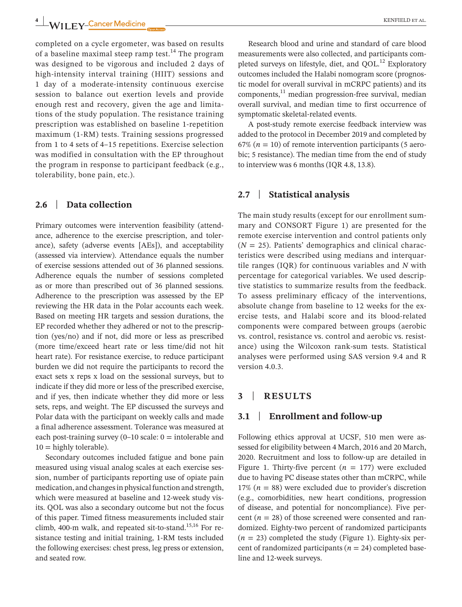**4 |** KENFIELD et al.

completed on a cycle ergometer, was based on results of a baseline maximal steep ramp test.<sup>14</sup> The program was designed to be vigorous and included 2 days of high-intensity interval training (HIIT) sessions and 1 day of a moderate-intensity continuous exercise session to balance out exertion levels and provide enough rest and recovery, given the age and limitations of the study population. The resistance training prescription was established on baseline 1-repetition maximum (1-RM) tests. Training sessions progressed from 1 to 4 sets of 4–15 repetitions. Exercise selection was modified in consultation with the EP throughout the program in response to participant feedback (e.g., tolerability, bone pain, etc.).

## **2.6** | **Data collection**

Primary outcomes were intervention feasibility (attendance, adherence to the exercise prescription, and tolerance), safety (adverse events [AEs]), and acceptability (assessed via interview). Attendance equals the number of exercise sessions attended out of 36 planned sessions. Adherence equals the number of sessions completed as or more than prescribed out of 36 planned sessions. Adherence to the prescription was assessed by the EP reviewing the HR data in the Polar accounts each week. Based on meeting HR targets and session durations, the EP recorded whether they adhered or not to the prescription (yes/no) and if not, did more or less as prescribed (more time/exceed heart rate or less time/did not hit heart rate). For resistance exercise, to reduce participant burden we did not require the participants to record the exact sets x reps x load on the sessional surveys, but to indicate if they did more or less of the prescribed exercise, and if yes, then indicate whether they did more or less sets, reps, and weight. The EP discussed the surveys and Polar data with the participant on weekly calls and made a final adherence assessment. Tolerance was measured at each post-training survey  $(0-10 \text{ scale: } 0 = \text{intolerable and})$  $10 =$  highly tolerable).

Secondary outcomes included fatigue and bone pain measured using visual analog scales at each exercise session, number of participants reporting use of opiate pain medication, and changes in physical function and strength, which were measured at baseline and 12-week study visits. QOL was also a secondary outcome but not the focus of this paper. Timed fitness measurements included stair climb, 400-m walk, and repeated sit-to-stand.<sup>15,16</sup> For resistance testing and initial training, 1-RM tests included the following exercises: chest press, leg press or extension, and seated row.

Research blood and urine and standard of care blood measurements were also collected, and participants completed surveys on lifestyle, diet, and  $OOL$ <sup>12</sup> Exploratory outcomes included the Halabi nomogram score (prognostic model for overall survival in mCRPC patients) and its  $components<sup>11</sup>$  median progression-free survival, median overall survival, and median time to first occurrence of symptomatic skeletal-related events.

A post-study remote exercise feedback interview was added to the protocol in December 2019 and completed by  $67\%$  ( $n = 10$ ) of remote intervention participants (5 aerobic; 5 resistance). The median time from the end of study to interview was 6 months (IQR 4.8, 13.8).

## **2.7** | **Statistical analysis**

The main study results (except for our enrollment summary and CONSORT Figure 1) are presented for the remote exercise intervention and control patients only  $(N = 25)$ . Patients' demographics and clinical characteristics were described using medians and interquartile ranges (IQR) for continuous variables and *N* with percentage for categorical variables. We used descriptive statistics to summarize results from the feedback. To assess preliminary efficacy of the interventions, absolute change from baseline to 12 weeks for the exercise tests, and Halabi score and its blood-related components were compared between groups (aerobic vs. control, resistance vs. control and aerobic vs. resistance) using the Wilcoxon rank-sum tests. Statistical analyses were performed using SAS version 9.4 and R version 4.0.3.

## **3** | **RESULTS**

## **3.1** | **Enrollment and follow-up**

Following ethics approval at UCSF, 510 men were assessed for eligibility between 4 March, 2016 and 20 March, 2020. Recruitment and loss to follow-up are detailed in Figure 1. Thirty-five percent  $(n = 177)$  were excluded due to having PC disease states other than mCRPC, while 17% (*n* = 88) were excluded due to provider's discretion (e.g., comorbidities, new heart conditions, progression of disease, and potential for noncompliance). Five percent  $(n = 28)$  of those screened were consented and randomized. Eighty-two percent of randomized participants  $(n = 23)$  completed the study (Figure 1). Eighty-six percent of randomized participants ( $n = 24$ ) completed baseline and 12-week surveys.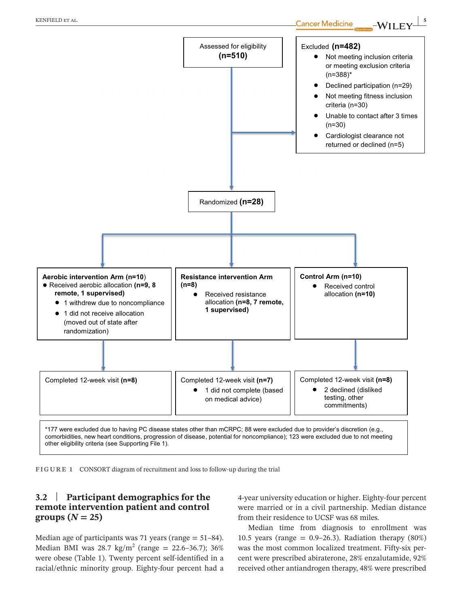

**FIGURE 1** CONSORT diagram of recruitment and loss to follow-up during the trial

## **3.2** | **Participant demographics for the remote intervention patient and control**   $groups (N = 25)$

Median age of participants was 71 years (range  $= 51-84$ ). Median BMI was 28.7  $\text{kg/m}^2$  (range = 22.6–36.7); 36% were obese (Table 1). Twenty percent self-identified in a racial/ethnic minority group. Eighty-four percent had a

4-year university education or higher. Eighty-four percent were married or in a civil partnership. Median distance from their residence to UCSF was 68 miles.

Median time from diagnosis to enrollment was 10.5 years (range  $= 0.9 - 26.3$ ). Radiation therapy (80%) was the most common localized treatment. Fifty-six percent were prescribed abiraterone, 28% enzalutamide, 92% received other antiandrogen therapy, 48% were prescribed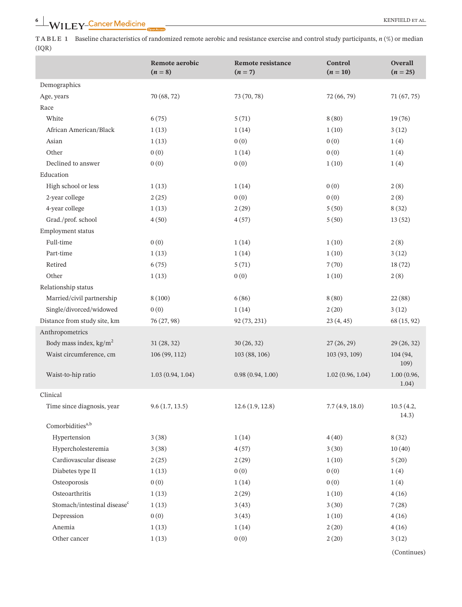**TABLE 1** Baseline characteristics of randomized remote aerobic and resistance exercise and control study participants, *n* (%) or median (IQR)

|                                         | <b>Remote aerobic</b><br>$(n=8)$ | <b>Remote resistance</b><br>$(n = 7)$ | Control<br>$(n = 10)$ | <b>Overall</b><br>$(n = 25)$ |
|-----------------------------------------|----------------------------------|---------------------------------------|-----------------------|------------------------------|
| Demographics                            |                                  |                                       |                       |                              |
| Age, years                              | 70 (68, 72)                      | 73 (70, 78)                           | 72 (66, 79)           | 71 (67, 75)                  |
| Race                                    |                                  |                                       |                       |                              |
| White                                   | 6(75)                            | 5(71)                                 | 8(80)                 | 19(76)                       |
| African American/Black                  | 1(13)                            | 1(14)                                 | 1(10)                 | 3(12)                        |
| Asian                                   | 1(13)                            | 0(0)                                  | 0(0)                  | 1(4)                         |
| Other                                   | 0(0)                             | 1(14)                                 | 0(0)                  | 1(4)                         |
| Declined to answer                      | 0(0)                             | 0(0)                                  | 1(10)                 | 1(4)                         |
| Education                               |                                  |                                       |                       |                              |
| High school or less                     | 1(13)                            | 1(14)                                 | 0(0)                  | 2(8)                         |
| 2-year college                          | 2(25)                            | 0(0)                                  | 0(0)                  | 2(8)                         |
| 4-year college                          | 1(13)                            | 2(29)                                 | 5(50)                 | 8(32)                        |
| Grad./prof. school                      | 4(50)                            | 4(57)                                 | 5(50)                 | 13(52)                       |
| Employment status                       |                                  |                                       |                       |                              |
| Full-time                               | 0(0)                             | 1(14)                                 | 1(10)                 | 2(8)                         |
| Part-time                               | 1(13)                            | 1(14)                                 | 1(10)                 | 3(12)                        |
| Retired                                 | 6(75)                            | 5(71)                                 | 7(70)                 | 18(72)                       |
| Other                                   | 1(13)                            | 0(0)                                  | 1(10)                 | 2(8)                         |
| Relationship status                     |                                  |                                       |                       |                              |
| Married/civil partnership               | 8(100)                           | 6(86)                                 | 8(80)                 | 22(88)                       |
| Single/divorced/widowed                 | 0(0)                             | 1(14)                                 | 2(20)                 | 3(12)                        |
| Distance from study site, km            | 76 (27, 98)                      | 92 (73, 231)                          | 23(4, 45)             | 68 (15, 92)                  |
| Anthropometrics                         |                                  |                                       |                       |                              |
| Body mass index, $\text{kg/m}^2$        | 31(28, 32)                       | 30(26, 32)                            | 27(26, 29)            | 29(26, 32)                   |
| Waist circumference, cm                 | 106 (99, 112)                    | 103 (88, 106)                         | 103 (93, 109)         | 104 (94,<br>109)             |
| Waist-to-hip ratio                      | 1.03(0.94, 1.04)                 | 0.98(0.94, 1.00)                      | 1.02(0.96, 1.04)      | 1.00(0.96,<br>1.04)          |
| Clinical                                |                                  |                                       |                       |                              |
| Time since diagnosis, year              | 9.6(1.7, 13.5)                   | 12.6(1.9, 12.8)                       | 7.7(4.9, 18.0)        | 10.5(4.2,<br>14.3)           |
| Comorbidities <sup>a,b</sup>            |                                  |                                       |                       |                              |
| Hypertension                            | 3(38)                            | 1(14)                                 | 4(40)                 | 8(32)                        |
| Hypercholesteremia                      | 3(38)                            | 4(57)                                 | 3(30)                 | 10(40)                       |
| Cardiovascular disease                  | 2(25)                            | 2(29)                                 | 1(10)                 | 5(20)                        |
| Diabetes type II                        | 1(13)                            | 0(0)                                  | 0(0)                  | 1(4)                         |
| Osteoporosis                            | 0(0)                             | 1(14)                                 | 0(0)                  | 1(4)                         |
| Osteoarthritis                          | 1(13)                            | 2(29)                                 | 1(10)                 | 4(16)                        |
| Stomach/intestinal disease <sup>c</sup> | 1(13)                            | 3(43)                                 | 3(30)                 | 7(28)                        |
| Depression                              | 0(0)                             | 3(43)                                 | 1(10)                 | 4(16)                        |
| Anemia                                  | 1(13)                            | 1(14)                                 | 2(20)                 | 4(16)                        |
| Other cancer                            | 1(13)                            | 0(0)                                  | 2(20)                 | 3(12)                        |

(Continues)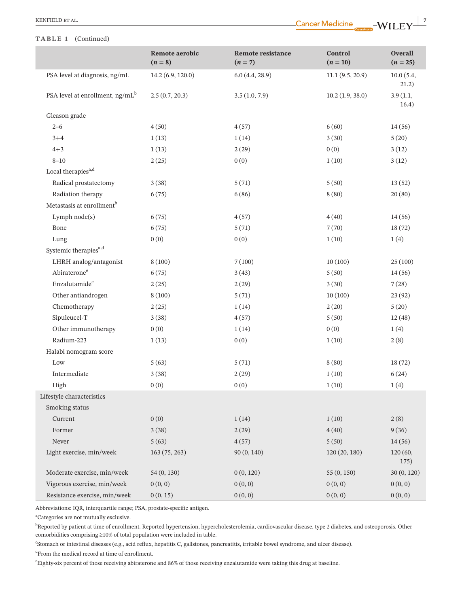#### **TABLE 1** (Continued)

|                                       | Remote aerobic<br>$(n=8)$ | <b>Remote resistance</b><br>$(n=7)$ | Control<br>$(n = 10)$ | Overall<br>$(n = 25)$ |
|---------------------------------------|---------------------------|-------------------------------------|-----------------------|-----------------------|
| PSA level at diagnosis, ng/mL         | 14.2(6.9, 120.0)          | 6.0(4.4, 28.9)                      | 11.1(9.5, 20.9)       | 10.0(5.4,<br>21.2)    |
| PSA level at enrollment, $ng/mL^b$    | 2.5(0.7, 20.3)            | 3.5(1.0, 7.9)                       | 10.2(1.9, 38.0)       | 3.9(1.1,<br>16.4)     |
| Gleason grade                         |                           |                                     |                       |                       |
| $2 - 6$                               | 4(50)                     | 4(57)                               | 6(60)                 | 14(56)                |
| $3+4$                                 | 1(13)                     | 1(14)                               | 3(30)                 | 5(20)                 |
| $4 + 3$                               | 1(13)                     | 2(29)                               | 0(0)                  | 3(12)                 |
| $8 - 10$                              | 2(25)                     | 0(0)                                | 1(10)                 | 3(12)                 |
| Local therapies <sup>a,d</sup>        |                           |                                     |                       |                       |
| Radical prostatectomy                 | 3(38)                     | 5(71)                               | 5(50)                 | 13(52)                |
| Radiation therapy                     | 6(75)                     | 6(86)                               | 8(80)                 | 20(80)                |
| Metastasis at enrollment <sup>b</sup> |                           |                                     |                       |                       |
| Lymph node(s)                         | 6(75)                     | 4(57)                               | 4(40)                 | 14(56)                |
| Bone                                  | 6(75)                     | 5(71)                               | 7(70)                 | 18(72)                |
| Lung                                  | 0(0)                      | 0(0)                                | 1(10)                 | 1(4)                  |
| Systemic therapies <sup>a,d</sup>     |                           |                                     |                       |                       |
| LHRH analog/antagonist                | 8(100)                    | 7(100)                              | 10(100)               | 25(100)               |
| Abiraterone <sup>e</sup>              | 6(75)                     | 3(43)                               | 5(50)                 | 14(56)                |
| Enzalutamide <sup>e</sup>             | 2(25)                     | 2(29)                               | 3(30)                 | 7(28)                 |
| Other antiandrogen                    | 8(100)                    | 5(71)                               | 10(100)               | 23(92)                |
| Chemotherapy                          | 2(25)                     | 1(14)                               | 2(20)                 | 5(20)                 |
| Sipuleucel-T                          | 3(38)                     | 4(57)                               | 5(50)                 | 12(48)                |
| Other immunotherapy                   | 0(0)                      | 1(14)                               | 0(0)                  | 1(4)                  |
| Radium-223                            | 1(13)                     | 0(0)                                | 1(10)                 | 2(8)                  |
| Halabi nomogram score                 |                           |                                     |                       |                       |
| Low                                   | 5(63)                     | 5(71)                               | 8(80)                 | 18(72)                |
| Intermediate                          | 3(38)                     | 2(29)                               | 1(10)                 | 6(24)                 |
| High                                  | 0(0)                      | 0(0)                                | 1(10)                 | 1(4)                  |
| Lifestyle characteristics             |                           |                                     |                       |                       |
| Smoking status                        |                           |                                     |                       |                       |
| Current                               | 0(0)                      | 1(14)                               | 1(10)                 | 2(8)                  |
| Former                                | 3(38)                     | 2(29)                               | 4(40)                 | 9(36)                 |
| Never                                 | 5(63)                     | 4(57)                               | 5(50)                 | 14(56)                |
| Light exercise, min/week              | 163(75, 263)              | 90 (0, 140)                         | 120(20, 180)          | 120 (60,<br>175)      |
| Moderate exercise, min/week           | 54(0, 130)                | 0(0, 120)                           | 55(0, 150)            | 30(0, 120)            |
| Vigorous exercise, min/week           | 0(0, 0)                   | 0(0, 0)                             | 0(0, 0)               | 0(0, 0)               |
| Resistance exercise, min/week         | 0(0, 15)                  | 0(0, 0)                             | 0(0, 0)               | 0(0, 0)               |

Abbreviations: IQR, interquartile range; PSA, prostate-specific antigen.

a Categories are not mutually exclusive.

<sup>b</sup>Reported by patient at time of enrollment. Reported hypertension, hypercholesterolemia, cardiovascular disease, type 2 diabetes, and osteoporosis. Other comorbidities comprising  ${\geq}10\%$  of total population were included in table.

c Stomach or intestinal diseases (e.g., acid reflux, hepatitis C, gallstones, pancreatitis, irritable bowel syndrome, and ulcer disease).

d From the medical record at time of enrollment.

e Eighty-six percent of those receiving abiraterone and 86% of those receiving enzalutamide were taking this drug at baseline.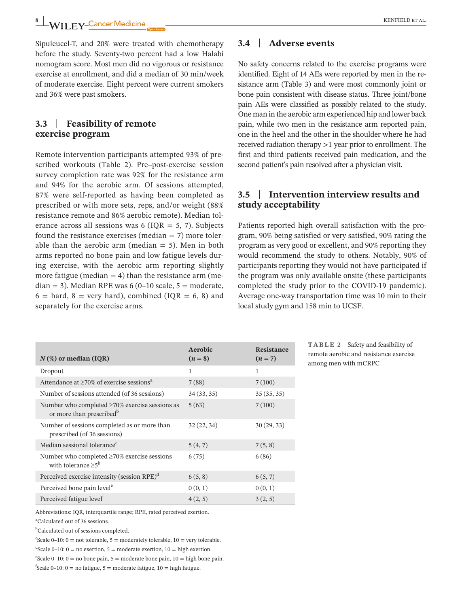**8** | WILEY-Cancer Medicine

Sipuleucel-T, and 20% were treated with chemotherapy before the study. Seventy-two percent had a low Halabi nomogram score. Most men did no vigorous or resistance exercise at enrollment, and did a median of 30 min/week of moderate exercise. Eight percent were current smokers and 36% were past smokers.

## **3.3** | **Feasibility of remote exercise program**

Remote intervention participants attempted 93% of prescribed workouts (Table 2). Pre–post-exercise session survey completion rate was 92% for the resistance arm and 94% for the aerobic arm. Of sessions attempted, 87% were self-reported as having been completed as prescribed or with more sets, reps, and/or weight (88% resistance remote and 86% aerobic remote). Median tolerance across all sessions was  $6$  (IQR = 5, 7). Subjects found the resistance exercises (median  $= 7$ ) more tolerable than the aerobic arm (median  $= 5$ ). Men in both arms reported no bone pain and low fatigue levels during exercise, with the aerobic arm reporting slightly more fatigue (median  $= 4$ ) than the resistance arm (median = 3). Median RPE was  $6(0-10 \text{ scale}, 5 = \text{moderate},$  $6 =$  hard,  $8 =$  very hard), combined (IQR = 6, 8) and separately for the exercise arms.

## **3.4** | **Adverse events**

No safety concerns related to the exercise programs were identified. Eight of 14 AEs were reported by men in the resistance arm (Table 3) and were most commonly joint or bone pain consistent with disease status. Three joint/bone pain AEs were classified as possibly related to the study. One man in the aerobic arm experienced hip and lower back pain, while two men in the resistance arm reported pain, one in the heel and the other in the shoulder where he had received radiation therapy >1 year prior to enrollment. The first and third patients received pain medication, and the second patient's pain resolved after a physician visit.

## **3.5** | **Intervention interview results and study acceptability**

Patients reported high overall satisfaction with the program, 90% being satisfied or very satisfied, 90% rating the program as very good or excellent, and 90% reporting they would recommend the study to others. Notably, 90% of participants reporting they would not have participated if the program was only available onsite (these participants completed the study prior to the COVID-19 pandemic). Average one-way transportation time was 10 min to their local study gym and 158 min to UCSF.

| $N$ (%) or median (IQR)                                                                      | Aerobic<br>$(n=8)$ | <b>Resistance</b><br>$(n=7)$ |
|----------------------------------------------------------------------------------------------|--------------------|------------------------------|
| Dropout                                                                                      | 1                  | 1                            |
| Attendance at $\geq 70\%$ of exercise sessions <sup>a</sup>                                  | 7(88)              | 7(100)                       |
| Number of sessions attended (of 36 sessions)                                                 | 34(33, 35)         | 35(35, 35)                   |
| Number who completed $\geq$ 70% exercise sessions as<br>or more than prescribed <sup>b</sup> | 5(63)              | 7(100)                       |
| Number of sessions completed as or more than<br>prescribed (of 36 sessions)                  | 32(22, 34)         | 30(29, 33)                   |
| Median sessional tolerance <sup>c</sup>                                                      | 5(4, 7)            | 7(5, 8)                      |
| Number who completed $\geq 70\%$ exercise sessions<br>with tolerance $\geq 5^b$              | 6(75)              | 6(86)                        |
| Perceived exercise intensity (session RPE) <sup>d</sup>                                      | 6(5, 8)            | 6(5, 7)                      |
| Perceived bone pain level <sup>e</sup>                                                       | 0(0,1)             | 0(0,1)                       |
| Perceived fatigue level <sup>f</sup>                                                         | 4(2, 5)            | 3(2, 5)                      |

**TABLE 2** Safety and feasibility of remote aerobic and resistance exercise among men with mCRPC

Abbreviations: IQR, interquartile range; RPE, rated perceived exertion.

a Calculated out of 36 sessions.

<sup>b</sup>Calculated out of sessions completed.

 $c$ Scale 0–10: 0 = not tolerable, 5 = moderately tolerable, 10 = very tolerable.

 $^{d}$ Scale 0–10: 0 = no exertion, 5 = moderate exertion, 10 = high exertion.

 $\text{``Scale 0--10: 0 = no bone pain, 5 = moderate bone pain, 10 = high bone pain.}$ 

 ${}^{\text{f}}$ Scale 0–10: 0 = no fatigue, 5 = moderate fatigue, 10 = high fatigue.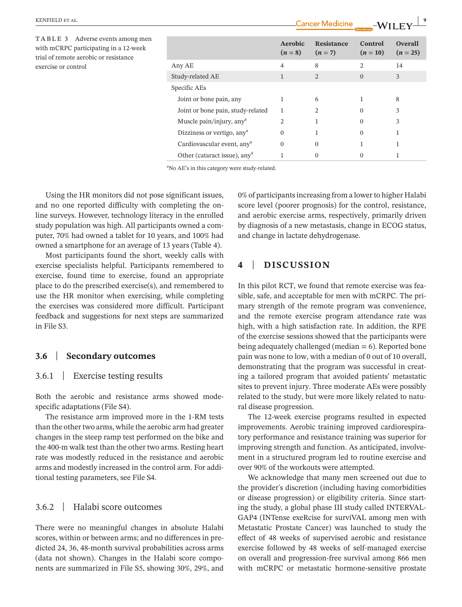| TABLE 3<br>Adverse events among men<br>with mCRPC participating in a 12-week<br>trial of remote aerobic or resistance |                                          | Aerobic<br>$(n=8)$ | Resistance<br>$(n=7)$ | Control<br>$(n=10)$ | <b>Overall</b><br>$(n = 25)$ |
|-----------------------------------------------------------------------------------------------------------------------|------------------------------------------|--------------------|-----------------------|---------------------|------------------------------|
| exercise or control                                                                                                   | Any AE                                   | $\overline{4}$     | 8                     | $\overline{c}$      | 14                           |
|                                                                                                                       | Study-related AE                         | $\mathbf{1}$       | $\overline{2}$        | $\overline{0}$      | 3                            |
|                                                                                                                       | Specific AEs                             |                    |                       |                     |                              |
|                                                                                                                       | Joint or bone pain, any                  |                    | 6                     |                     | 8                            |
|                                                                                                                       | Joint or bone pain, study-related        | $\mathbf{1}$       | 2                     | $\mathbf{0}$        | 3                            |
|                                                                                                                       | Muscle pain/injury, any <sup>a</sup>     | $\overline{2}$     |                       | $\Omega$            | 3                            |
|                                                                                                                       | Dizziness or vertigo, any <sup>a</sup>   | $\mathbf{0}$       |                       | $\mathbf{0}$        |                              |
|                                                                                                                       | Cardiovascular event, any <sup>a</sup>   | $\mathbf{0}$       | $\mathbf{0}$          |                     |                              |
|                                                                                                                       | Other (cataract issue), any <sup>a</sup> |                    | $\mathbf{0}$          | $\mathbf{0}$        |                              |

<sup>a</sup>No AE's in this category were study-related.

Using the HR monitors did not pose significant issues, and no one reported difficulty with completing the online surveys. However, technology literacy in the enrolled study population was high. All participants owned a computer, 70% had owned a tablet for 10 years, and 100% had owned a smartphone for an average of 13 years (Table 4).

Most participants found the short, weekly calls with exercise specialists helpful. Participants remembered to exercise, found time to exercise, found an appropriate place to do the prescribed exercise(s), and remembered to use the HR monitor when exercising, while completing the exercises was considered more difficult. Participant feedback and suggestions for next steps are summarized in File S3.

#### **3.6** | **Secondary outcomes**

#### 3.6.1 | Exercise testing results

Both the aerobic and resistance arms showed modespecific adaptations (File S4).

The resistance arm improved more in the 1-RM tests than the other two arms, while the aerobic arm had greater changes in the steep ramp test performed on the bike and the 400-m walk test than the other two arms. Resting heart rate was modestly reduced in the resistance and aerobic arms and modestly increased in the control arm. For additional testing parameters, see File S4.

## 3.6.2 | Halabi score outcomes

There were no meaningful changes in absolute Halabi scores, within or between arms; and no differences in predicted 24, 36, 48-month survival probabilities across arms (data not shown). Changes in the Halabi score components are summarized in File S5, showing 30%, 29%, and 0% of participants increasing from a lower to higher Halabi score level (poorer prognosis) for the control, resistance, and aerobic exercise arms, respectively, primarily driven by diagnosis of a new metastasis, change in ECOG status, and change in lactate dehydrogenase.

## **4** | **DISCUSSION**

In this pilot RCT, we found that remote exercise was feasible, safe, and acceptable for men with mCRPC. The primary strength of the remote program was convenience, and the remote exercise program attendance rate was high, with a high satisfaction rate. In addition, the RPE of the exercise sessions showed that the participants were being adequately challenged (median  $= 6$ ). Reported bone pain was none to low, with a median of 0 out of 10 overall, demonstrating that the program was successful in creating a tailored program that avoided patients' metastatic sites to prevent injury. Three moderate AEs were possibly related to the study, but were more likely related to natural disease progression.

The 12-week exercise programs resulted in expected improvements. Aerobic training improved cardiorespiratory performance and resistance training was superior for improving strength and function. As anticipated, involvement in a structured program led to routine exercise and over 90% of the workouts were attempted.

We acknowledge that many men screened out due to the provider's discretion (including having comorbidities or disease progression) or eligibility criteria. Since starting the study, a global phase III study called INTERVAL-GAP4 (INTense exeRcise for surviVAL among men with Metastatic Prostate Cancer) was launched to study the effect of 48 weeks of supervised aerobic and resistance exercise followed by 48 weeks of self-managed exercise on overall and progression-free survival among 866 men with mCRPC or metastatic hormone-sensitive prostate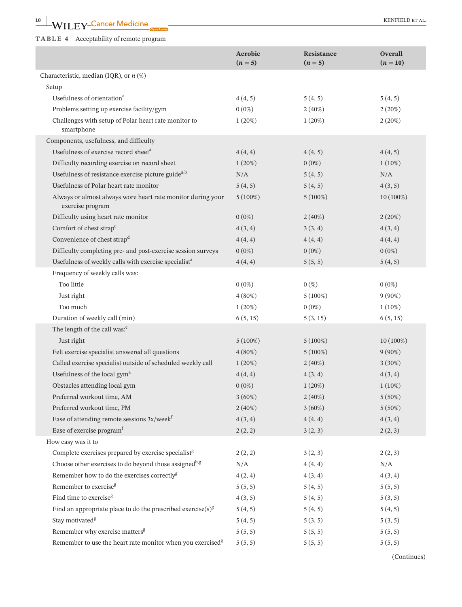# **10**  $\blacksquare$  **WILEY-Cancer Medicine**  $\bullet$  **Exerced Medicine**

#### **TABLE 4** Acceptability of remote program

|                                                                                 | Aerobic<br>$(n = 5)$ | Resistance<br>$(n = 5)$ | <b>Overall</b><br>$(n = 10)$ |
|---------------------------------------------------------------------------------|----------------------|-------------------------|------------------------------|
| Characteristic, median (IQR), or $n$ (%)                                        |                      |                         |                              |
| Setup                                                                           |                      |                         |                              |
| Usefulness of orientation <sup>a</sup>                                          | 4(4, 5)              | 5(4, 5)                 | 5(4, 5)                      |
| Problems setting up exercise facility/gym                                       | $0(0\%)$             | $2(40\%)$               | 2(20%)                       |
| Challenges with setup of Polar heart rate monitor to<br>smartphone              | $1(20\%)$            | $1(20\%)$               | 2(20%)                       |
| Components, usefulness, and difficulty                                          |                      |                         |                              |
| Usefulness of exercise record sheet <sup>a</sup>                                | 4(4, 4)              | 4(4, 5)                 | 4(4, 5)                      |
| Difficulty recording exercise on record sheet                                   | 1(20%)               | $0(0\%)$                | $1(10\%)$                    |
| Usefulness of resistance exercise picture guide <sup>a,b</sup>                  | N/A                  | 5(4, 5)                 | N/A                          |
| Usefulness of Polar heart rate monitor                                          | 5(4, 5)              | 5(4, 5)                 | 4(3, 5)                      |
| Always or almost always wore heart rate monitor during your<br>exercise program | $5(100\%)$           | $5(100\%)$              | 10 (100%)                    |
| Difficulty using heart rate monitor                                             | $0(0\%)$             | $2(40\%)$               | 2(20%)                       |
| Comfort of chest strap <sup>c</sup>                                             | 4(3, 4)              | 3(3, 4)                 | 4(3, 4)                      |
| Convenience of chest strap <sup>d</sup>                                         | 4(4, 4)              | 4(4, 4)                 | 4(4, 4)                      |
| Difficulty completing pre- and post-exercise session surveys                    | $0(0\%)$             | $0(0\%)$                | $0(0\%)$                     |
| Usefulness of weekly calls with exercise specialist <sup>a</sup>                | 4(4, 4)              | 5(5, 5)                 | 5(4, 5)                      |
| Frequency of weekly calls was:                                                  |                      |                         |                              |
| Too little                                                                      | $0(0\%)$             | $0\left(\%\right)$      | $0(0\%)$                     |
| Just right                                                                      | $4(80\%)$            | $5(100\%)$              | $9(90\%)$                    |
| Too much                                                                        | $1(20\%)$            | $0(0\%)$                | $1(10\%)$                    |
| Duration of weekly call (min)                                                   | 6(5, 15)             | 5(3, 15)                | 6(5, 15)                     |
| The length of the call was: <sup>e</sup>                                        |                      |                         |                              |
| Just right                                                                      | $5(100\%)$           | $5(100\%)$              | 10 (100%)                    |
| Felt exercise specialist answered all questions                                 | $4(80\%)$            | $5(100\%)$              | $9(90\%)$                    |
| Called exercise specialist outside of scheduled weekly call                     | 1(20%)               | $2(40\%)$               | $3(30\%)$                    |
| Usefulness of the local gym <sup>a</sup>                                        | 4(4, 4)              | 4(3, 4)                 | 4(3, 4)                      |
| Obstacles attending local gym                                                   | $0(0\%)$             | $1(20\%)$               | $1(10\%)$                    |
| Preferred workout time, AM                                                      | $3(60\%)$            | $2(40\%)$               | 5(50%)                       |
| Preferred workout time, PM                                                      | $2(40\%)$            | $3(60\%)$               | 5(50%)                       |
| Ease of attending remote sessions 3x/week <sup>f</sup>                          | 4(3, 4)              | 4(4, 4)                 | 4(3, 4)                      |
| Ease of exercise program <sup>f</sup>                                           | 2(2, 2)              | 3(2, 3)                 | 2(2, 3)                      |
| How easy was it to                                                              |                      |                         |                              |
| Complete exercises prepared by exercise specialist <sup>g</sup>                 | 2(2, 2)              | 3(2, 3)                 | 2(2, 3)                      |
| Choose other exercises to do beyond those assigned <sup>b,g</sup>               | N/A                  | 4(4, 4)                 | N/A                          |
| Remember how to do the exercises correctly <sup>g</sup>                         | 4(2, 4)              | 4(3, 4)                 | 4(3, 4)                      |
| Remember to exercise <sup>g</sup>                                               | 5(5, 5)              | 5(4, 5)                 | 5(5, 5)                      |
| Find time to exercise <sup>g</sup>                                              | 4(3, 5)              | 5(4, 5)                 | 5(3, 5)                      |
| Find an appropriate place to do the prescribed exercise( $s$ ) <sup>g</sup>     | 5(4, 5)              | 5(4, 5)                 | 5(4, 5)                      |
| Stay motivated <sup>g</sup>                                                     | 5(4, 5)              | 5(3, 5)                 | 5(3, 5)                      |
| Remember why exercise matters <sup>g</sup>                                      | 5(5, 5)              | 5(5, 5)                 | 5(5, 5)                      |
| Remember to use the heart rate monitor when you exercised <sup>g</sup>          | 5(5, 5)              | 5(5, 5)                 | 5(5, 5)                      |

(Continues)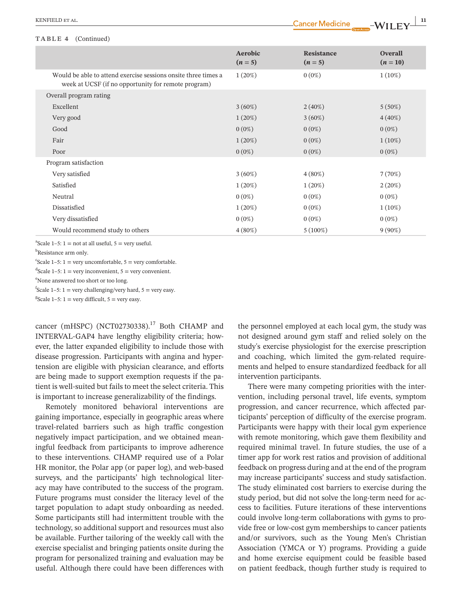#### **TABLE 4** (Continued)

| KEN<br>$\mathbf{a}$ |    |  |
|---------------------|----|--|
|                     | -- |  |

|                                                                                                                       | Aerobic<br>$(n=5)$ | Resistance<br>$(n=5)$ | <b>Overall</b><br>$(n=10)$ |
|-----------------------------------------------------------------------------------------------------------------------|--------------------|-----------------------|----------------------------|
| Would be able to attend exercise sessions onsite three times a<br>week at UCSF (if no opportunity for remote program) | $1(20\%)$          | $0(0\%)$              | $1(10\%)$                  |
| Overall program rating                                                                                                |                    |                       |                            |
| Excellent                                                                                                             | $3(60\%)$          | $2(40\%)$             | $5(50\%)$                  |
| Very good                                                                                                             | $1(20\%)$          | $3(60\%)$             | $4(40\%)$                  |
| Good                                                                                                                  | $0(0\%)$           | $0(0\%)$              | $0(0\%)$                   |
| Fair                                                                                                                  | $1(20\%)$          | $0(0\%)$              | $1(10\%)$                  |
| Poor                                                                                                                  | $0(0\%)$           | $0(0\%)$              | $0(0\%)$                   |
| Program satisfaction                                                                                                  |                    |                       |                            |
| Very satisfied                                                                                                        | $3(60\%)$          | $4(80\%)$             | 7(70%)                     |
| Satisfied                                                                                                             | $1(20\%)$          | $1(20\%)$             | 2(20%)                     |
| Neutral                                                                                                               | $0(0\%)$           | $0(0\%)$              | $0(0\%)$                   |
| Dissatisfied                                                                                                          | $1(20\%)$          | $0(0\%)$              | $1(10\%)$                  |
| Very dissatisfied                                                                                                     | $0(0\%)$           | $0(0\%)$              | $0(0\%)$                   |
| Would recommend study to others                                                                                       | $4(80\%)$          | $5(100\%)$            | $9(90\%)$                  |
|                                                                                                                       |                    |                       |                            |

 $a$ Scale 1–5: 1 = not at all useful, 5 = very useful.

<sup>b</sup>Resistance arm only.

 $c$ Scale 1–5: 1 = very uncomfortable, 5 = very comfortable.

 ${}^{d}$ Scale 1–5: 1 = very inconvenient, 5 = very convenient.

e None answered too short or too long.

 $f$ Scale 1–5: 1 = very challenging/very hard, 5 = very easy.

<sup>g</sup>Scale 1–5: 1 = very difficult, 5 = very easy.

cancer (mHSPC) (NCT02730338).<sup>17</sup> Both CHAMP and INTERVAL-GAP4 have lengthy eligibility criteria; however, the latter expanded eligibility to include those with disease progression. Participants with angina and hypertension are eligible with physician clearance, and efforts are being made to support exemption requests if the patient is well-suited but fails to meet the select criteria. This is important to increase generalizability of the findings.

Remotely monitored behavioral interventions are gaining importance, especially in geographic areas where travel-related barriers such as high traffic congestion negatively impact participation, and we obtained meaningful feedback from participants to improve adherence to these interventions. CHAMP required use of a Polar HR monitor, the Polar app (or paper log), and web-based surveys, and the participants' high technological literacy may have contributed to the success of the program. Future programs must consider the literacy level of the target population to adapt study onboarding as needed. Some participants still had intermittent trouble with the technology, so additional support and resources must also be available. Further tailoring of the weekly call with the exercise specialist and bringing patients onsite during the program for personalized training and evaluation may be useful. Although there could have been differences with

the personnel employed at each local gym, the study was not designed around gym staff and relied solely on the study's exercise physiologist for the exercise prescription and coaching, which limited the gym-related requirements and helped to ensure standardized feedback for all intervention participants.

There were many competing priorities with the intervention, including personal travel, life events, symptom progression, and cancer recurrence, which affected participants' perception of difficulty of the exercise program. Participants were happy with their local gym experience with remote monitoring, which gave them flexibility and required minimal travel. In future studies, the use of a timer app for work rest ratios and provision of additional feedback on progress during and at the end of the program may increase participants' success and study satisfaction. The study eliminated cost barriers to exercise during the study period, but did not solve the long-term need for access to facilities. Future iterations of these interventions could involve long-term collaborations with gyms to provide free or low-cost gym memberships to cancer patients and/or survivors, such as the Young Men's Christian Association (YMCA or Y) programs. Providing a guide and home exercise equipment could be feasible based on patient feedback, though further study is required to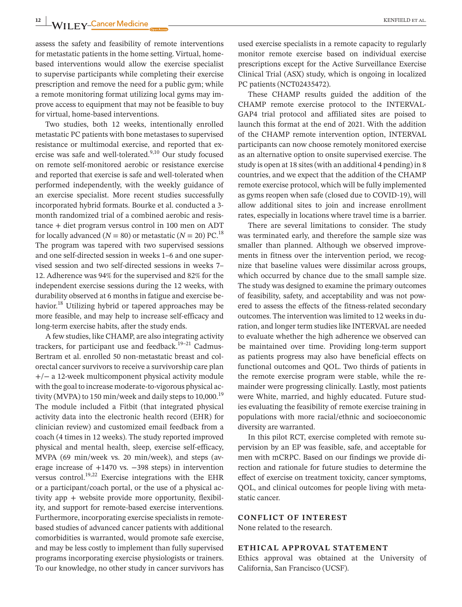**12 |** KENFIELD et al.

assess the safety and feasibility of remote interventions for metastatic patients in the home setting. Virtual, homebased interventions would allow the exercise specialist to supervise participants while completing their exercise prescription and remove the need for a public gym; while a remote monitoring format utilizing local gyms may improve access to equipment that may not be feasible to buy for virtual, home-based interventions.

Two studies, both 12 weeks, intentionally enrolled metastatic PC patients with bone metastases to supervised resistance or multimodal exercise, and reported that exercise was safe and well-tolerated.<sup>9,10</sup> Our study focused on remote self-monitored aerobic or resistance exercise and reported that exercise is safe and well-tolerated when performed independently, with the weekly guidance of an exercise specialist. More recent studies successfully incorporated hybrid formats. Bourke et al. conducted a 3 month randomized trial of a combined aerobic and resistance + diet program versus control in 100 men on ADT for locally advanced ( $N = 80$ ) or metastatic ( $N = 20$ ) PC.<sup>18</sup> The program was tapered with two supervised sessions and one self-directed session in weeks 1–6 and one supervised session and two self-directed sessions in weeks 7– 12. Adherence was 94% for the supervised and 82% for the independent exercise sessions during the 12 weeks, with durability observed at 6 months in fatigue and exercise behavior.<sup>18</sup> Utilizing hybrid or tapered approaches may be more feasible, and may help to increase self-efficacy and long-term exercise habits, after the study ends.

A few studies, like CHAMP, are also integrating activity trackers, for participant use and feedback.<sup>19-21</sup> Cadmus-Bertram et al. enrolled 50 non-metastatic breast and colorectal cancer survivors to receive a survivorship care plan +/− a 12-week multicomponent physical activity module with the goal to increase moderate-to-vigorous physical activity (MVPA) to 150 min/week and daily steps to  $10,000$ .<sup>19</sup> The module included a Fitbit (that integrated physical activity data into the electronic health record (EHR) for clinician review) and customized email feedback from a coach (4 times in 12 weeks). The study reported improved physical and mental health, sleep, exercise self-efficacy, MVPA (69 min/week vs. 20 min/week), and steps (average increase of +1470 vs. −398 steps) in intervention versus control.<sup>19,22</sup> Exercise integrations with the EHR or a participant/coach portal, or the use of a physical activity app  $+$  website provide more opportunity, flexibility, and support for remote-based exercise interventions. Furthermore, incorporating exercise specialists in remotebased studies of advanced cancer patients with additional comorbidities is warranted, would promote safe exercise, and may be less costly to implement than fully supervised programs incorporating exercise physiologists or trainers. To our knowledge, no other study in cancer survivors has

used exercise specialists in a remote capacity to regularly monitor remote exercise based on individual exercise prescriptions except for the Active Surveillance Exercise Clinical Trial (ASX) study, which is ongoing in localized PC patients (NCT02435472).

These CHAMP results guided the addition of the CHAMP remote exercise protocol to the INTERVAL-GAP4 trial protocol and affiliated sites are poised to launch this format at the end of 2021. With the addition of the CHAMP remote intervention option, INTERVAL participants can now choose remotely monitored exercise as an alternative option to onsite supervised exercise. The study is open at 18 sites(with an additional 4 pending) in 8 countries, and we expect that the addition of the CHAMP remote exercise protocol, which will be fully implemented as gyms reopen when safe (closed due to COVID-19), will allow additional sites to join and increase enrollment rates, especially in locations where travel time is a barrier.

There are several limitations to consider. The study was terminated early, and therefore the sample size was smaller than planned. Although we observed improvements in fitness over the intervention period, we recognize that baseline values were dissimilar across groups, which occurred by chance due to the small sample size. The study was designed to examine the primary outcomes of feasibility, safety, and acceptability and was not powered to assess the effects of the fitness-related secondary outcomes. The intervention was limited to 12 weeks in duration, and longer term studies like INTERVAL are needed to evaluate whether the high adherence we observed can be maintained over time. Providing long-term support as patients progress may also have beneficial effects on functional outcomes and QOL. Two thirds of patients in the remote exercise program were stable, while the remainder were progressing clinically. Lastly, most patients were White, married, and highly educated. Future studies evaluating the feasibility of remote exercise training in populations with more racial/ethnic and socioeconomic diversity are warranted.

In this pilot RCT, exercise completed with remote supervision by an EP was feasible, safe, and acceptable for men with mCRPC. Based on our findings we provide direction and rationale for future studies to determine the effect of exercise on treatment toxicity, cancer symptoms, QOL, and clinical outcomes for people living with metastatic cancer.

#### **CONFLICT OF INTEREST**

None related to the research.

#### **ETHICAL APPROVAL STATEMENT**

Ethics approval was obtained at the University of California, San Francisco (UCSF).